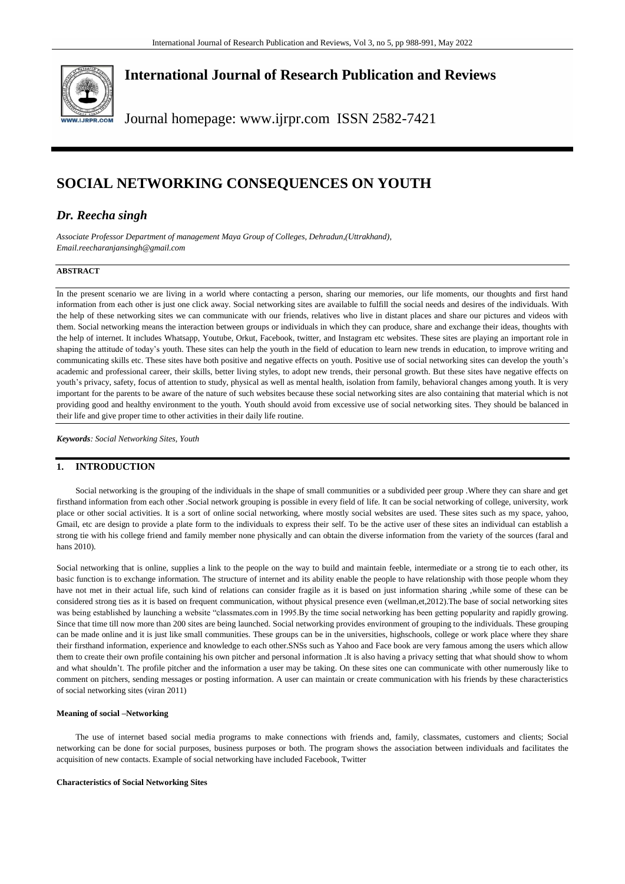

## **International Journal of Research Publication and Reviews**

Journal homepage: www.ijrpr.com ISSN 2582-7421

# **SOCIAL NETWORKING CONSEQUENCES ON YOUTH**

## *Dr. Reecha singh*

*Associate Professor Department of management Maya Group of Colleges, Dehradun,(Uttrakhand), Email.reecharanjansingh@gmail.com*

## **ABSTRACT**

In the present scenario we are living in a world where contacting a person, sharing our memories, our life moments, our thoughts and first hand information from each other is just one click away. Social networking sites are available to fulfill the social needs and desires of the individuals. With the help of these networking sites we can communicate with our friends, relatives who live in distant places and share our pictures and videos with them. Social networking means the interaction between groups or individuals in which they can produce, share and exchange their ideas, thoughts with the help of internet. It includes Whatsapp, Youtube, Orkut, Facebook, twitter, and Instagram etc websites. These sites are playing an important role in shaping the attitude of today's youth. These sites can help the youth in the field of education to learn new trends in education, to improve writing and communicating skills etc. These sites have both positive and negative effects on youth. Positive use of social networking sites can develop the youth's academic and professional career, their skills, better living styles, to adopt new trends, their personal growth. But these sites have negative effects on youth's privacy, safety, focus of attention to study, physical as well as mental health, isolation from family, behavioral changes among youth. It is very important for the parents to be aware of the nature of such websites because these social networking sites are also containing that material which is not providing good and healthy environment to the youth. Youth should avoid from excessive use of social networking sites. They should be balanced in their life and give proper time to other activities in their daily life routine.

*Keywords: Social Networking Sites, Youth*

## **1. INTRODUCTION**

Social networking is the grouping of the individuals in the shape of small communities or a subdivided peer group .Where they can share and get firsthand information from each other .Social network grouping is possible in every field of life. It can be social networking of college, university, work place or other social activities. It is a sort of online social networking, where mostly social websites are used. These sites such as my space, yahoo, Gmail, etc are design to provide a plate form to the individuals to express their self. To be the active user of these sites an individual can establish a strong tie with his college friend and family member none physically and can obtain the diverse information from the variety of the sources (faral and hans 2010).

Social networking that is online, supplies a link to the people on the way to build and maintain feeble, intermediate or a strong tie to each other, its basic function is to exchange information. The structure of internet and its ability enable the people to have relationship with those people whom they have not met in their actual life, such kind of relations can consider fragile as it is based on just information sharing ,while some of these can be considered strong ties as it is based on frequent communication, without physical presence even (wellman,et,2012).The base of social networking sites was being established by launching a website "classmates.com in 1995.By the time social networking has been getting popularity and rapidly growing. Since that time till now more than 200 sites are being launched. Social networking provides environment of grouping to the individuals. These grouping can be made online and it is just like small communities. These groups can be in the universities, highschools, college or work place where they share their firsthand information, experience and knowledge to each other.SNSs such as Yahoo and Face book are very famous among the users which allow them to create their own profile containing his own pitcher and personal information .It is also having a privacy setting that what should show to whom and what shouldn't. The profile pitcher and the information a user may be taking. On these sites one can communicate with other numerously like to comment on pitchers, sending messages or posting information. A user can maintain or create communication with his friends by these characteristics of social networking sites (viran 2011)

### **Meaning of social –Networking**

The use of internet based social media programs to make connections with friends and, family, classmates, customers and clients; Social networking can be done for social purposes, business purposes or both. The program shows the association between individuals and facilitates the acquisition of new contacts. Example of social networking have included Facebook, Twitter

#### **Characteristics of Social Networking Sites**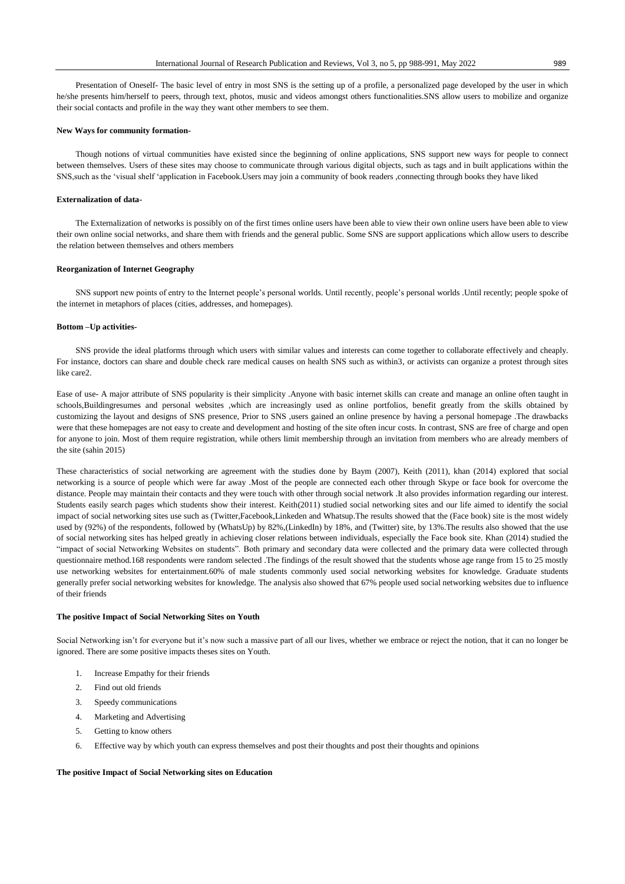Presentation of Oneself- The basic level of entry in most SNS is the setting up of a profile, a personalized page developed by the user in which he/she presents him/herself to peers, through text, photos, music and videos amongst others functionalities.SNS allow users to mobilize and organize their social contacts and profile in the way they want other members to see them.

## **New Ways for community formation-**

Though notions of virtual communities have existed since the beginning of online applications, SNS support new ways for people to connect between themselves. Users of these sites may choose to communicate through various digital objects, such as tags and in built applications within the SNS,such as the 'visual shelf 'application in Facebook.Users may join a community of book readers ,connecting through books they have liked

### **Externalization of data-**

The Externalization of networks is possibly on of the first times online users have been able to view their own online users have been able to view their own online social networks, and share them with friends and the general public. Some SNS are support applications which allow users to describe the relation between themselves and others members

## **Reorganization of Internet Geography**

SNS support new points of entry to the Internet people's personal worlds. Until recently, people's personal worlds .Until recently; people spoke of the internet in metaphors of places (cities, addresses, and homepages).

### **Bottom –Up activities-**

SNS provide the ideal platforms through which users with similar values and interests can come together to collaborate effectively and cheaply. For instance, doctors can share and double check rare medical causes on health SNS such as within3, or activists can organize a protest through sites like care2.

Ease of use- A major attribute of SNS popularity is their simplicity .Anyone with basic internet skills can create and manage an online often taught in schools,Buildingresumes and personal websites ,which are increasingly used as online portfolios, benefit greatly from the skills obtained by customizing the layout and designs of SNS presence, Prior to SNS ,users gained an online presence by having a personal homepage .The drawbacks were that these homepages are not easy to create and development and hosting of the site often incur costs. In contrast, SNS are free of charge and open for anyone to join. Most of them require registration, while others limit membership through an invitation from members who are already members of the site (sahin 2015)

These characteristics of social networking are agreement with the studies done by Baym (2007), Keith (2011), khan (2014) explored that social networking is a source of people which were far away .Most of the people are connected each other through Skype or face book for overcome the distance. People may maintain their contacts and they were touch with other through social network .It also provides information regarding our interest. Students easily search pages which students show their interest. Keith(2011) studied social networking sites and our life aimed to identify the social impact of social networking sites use such as (Twitter,Facebook,Linkeden and Whatsup.The results showed that the (Face book) site is the most widely used by (92%) of the respondents, followed by (WhatsUp) by 82%,(LinkedIn) by 18%, and (Twitter) site, by 13%.The results also showed that the use of social networking sites has helped greatly in achieving closer relations between individuals, especially the Face book site. Khan (2014) studied the "impact of social Networking Websites on students". Both primary and secondary data were collected and the primary data were collected through questionnaire method.168 respondents were random selected .The findings of the result showed that the students whose age range from 15 to 25 mostly use networking websites for entertainment.60% of male students commonly used social networking websites for knowledge. Graduate students generally prefer social networking websites for knowledge. The analysis also showed that 67% people used social networking websites due to influence of their friends

#### **The positive Impact of Social Networking Sites on Youth**

Social Networking isn't for everyone but it's now such a massive part of all our lives, whether we embrace or reject the notion, that it can no longer be ignored. There are some positive impacts theses sites on Youth.

- 1. Increase Empathy for their friends
- 2. Find out old friends
- 3. Speedy communications
- 4. Marketing and Advertising
- 5. Getting to know others
- 6. Effective way by which youth can express themselves and post their thoughts and post their thoughts and opinions

### **The positive Impact of Social Networking sites on Education**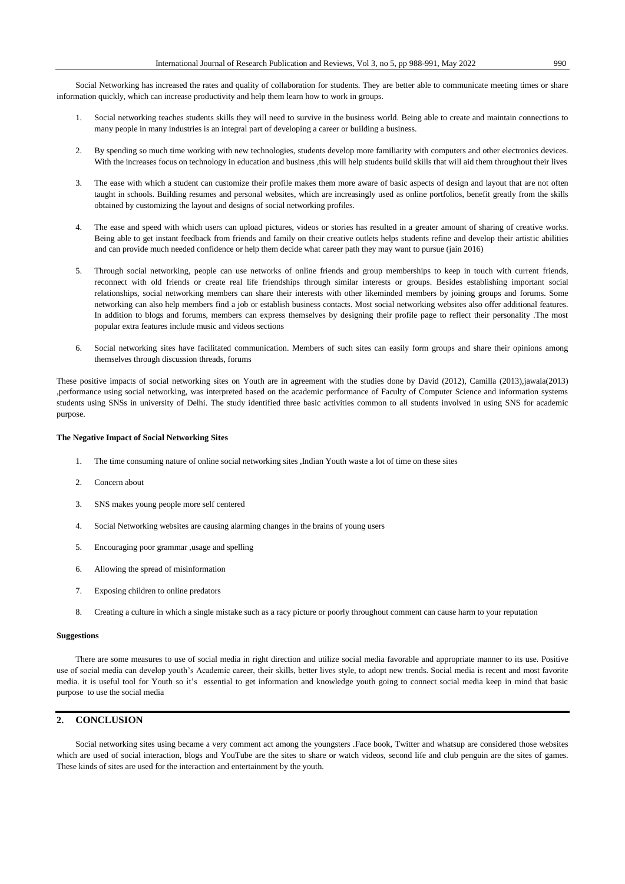Social Networking has increased the rates and quality of collaboration for students. They are better able to communicate meeting times or share information quickly, which can increase productivity and help them learn how to work in groups.

- 1. Social networking teaches students skills they will need to survive in the business world. Being able to create and maintain connections to many people in many industries is an integral part of developing a career or building a business.
- 2. By spending so much time working with new technologies, students develop more familiarity with computers and other electronics devices. With the increases focus on technology in education and business ,this will help students build skills that will aid them throughout their lives
- 3. The ease with which a student can customize their profile makes them more aware of basic aspects of design and layout that are not often taught in schools. Building resumes and personal websites, which are increasingly used as online portfolios, benefit greatly from the skills obtained by customizing the layout and designs of social networking profiles.
- 4. The ease and speed with which users can upload pictures, videos or stories has resulted in a greater amount of sharing of creative works. Being able to get instant feedback from friends and family on their creative outlets helps students refine and develop their artistic abilities and can provide much needed confidence or help them decide what career path they may want to pursue (jain 2016)
- 5. Through social networking, people can use networks of online friends and group memberships to keep in touch with current friends, reconnect with old friends or create real life friendships through similar interests or groups. Besides establishing important social relationships, social networking members can share their interests with other likeminded members by joining groups and forums. Some networking can also help members find a job or establish business contacts. Most social networking websites also offer additional features. In addition to blogs and forums, members can express themselves by designing their profile page to reflect their personality .The most popular extra features include music and videos sections
- 6. Social networking sites have facilitated communication. Members of such sites can easily form groups and share their opinions among themselves through discussion threads, forums

These positive impacts of social networking sites on Youth are in agreement with the studies done by David (2012), Camilla (2013),jawala(2013) ,performance using social networking, was interpreted based on the academic performance of Faculty of Computer Science and information systems students using SNSs in university of Delhi. The study identified three basic activities common to all students involved in using SNS for academic purpose.

### **The Negative Impact of Social Networking Sites**

- 1. The time consuming nature of online social networking sites ,Indian Youth waste a lot of time on these sites
- 2. Concern about
- 3. SNS makes young people more self centered
- 4. Social Networking websites are causing alarming changes in the brains of young users
- 5. Encouraging poor grammar ,usage and spelling
- 6. Allowing the spread of misinformation
- 7. Exposing children to online predators
- 8. Creating a culture in which a single mistake such as a racy picture or poorly throughout comment can cause harm to your reputation

## **Suggestions**

There are some measures to use of social media in right direction and utilize social media favorable and appropriate manner to its use. Positive use of social media can develop youth's Academic career, their skills, better lives style, to adopt new trends. Social media is recent and most favorite media. it is useful tool for Youth so it's essential to get information and knowledge youth going to connect social media keep in mind that basic purpose to use the social media

## **2. CONCLUSION**

Social networking sites using became a very comment act among the youngsters .Face book, Twitter and whatsup are considered those websites which are used of social interaction, blogs and YouTube are the sites to share or watch videos, second life and club penguin are the sites of games. These kinds of sites are used for the interaction and entertainment by the youth.